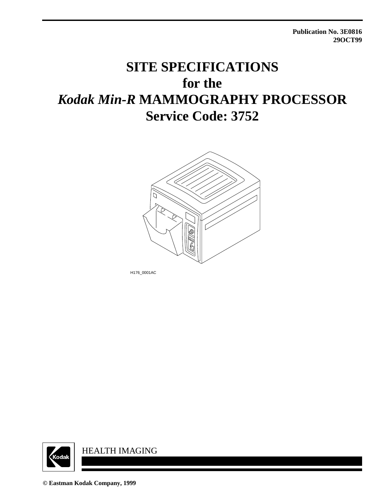**Publication No. 3E0816 29OCT99**

# **SITE SPECIFICATIONS for the** *Kodak Min-R* **MAMMOGRAPHY PROCESSOR Service Code: 3752**



H176\_0001AC



**© Eastman Kodak Company, 1999**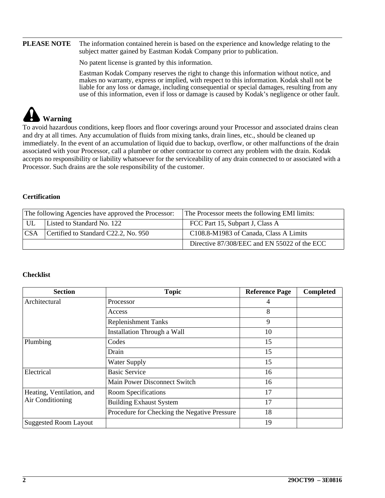#### **PLEASE NOTE** The information contained herein is based on the experience and knowledge relating to the subject matter gained by Eastman Kodak Company prior to publication.

No patent license is granted by this information.

Eastman Kodak Company reserves the right to change this information without notice, and makes no warranty, express or implied, with respect to this information. Kodak shall not be liable for any loss or damage, including consequential or special damages, resulting from any use of this information, even if loss or damage is caused by Kodak's negligence or other fault.

# **Warning**

To avoid hazardous conditions, keep floors and floor coverings around your Processor and associated drains clean and dry at all times. Any accumulation of fluids from mixing tanks, drain lines, etc., should be cleaned up immediately. In the event of an accumulation of liquid due to backup, overflow, or other malfunctions of the drain associated with your Processor, call a plumber or other contractor to correct any problem with the drain. Kodak accepts no responsibility or liability whatsoever for the serviceability of any drain connected to or associated with a Processor. Such drains are the sole responsibility of the customer.

#### **Certification**

| The following Agencies have approved the Processor: |                            | The Processor meets the following EMI limits: |  |
|-----------------------------------------------------|----------------------------|-----------------------------------------------|--|
| UL                                                  | Listed to Standard No. 122 | FCC Part 15, Subpart J, Class A               |  |
| Certified to Standard C22.2, No. 950<br><b>CSA</b>  |                            | C108.8-M1983 of Canada, Class A Limits        |  |
|                                                     |                            | Directive 87/308/EEC and EN 55022 of the ECC  |  |

#### **Checklist**

| <b>Section</b>               | <b>Topic</b>                                 | <b>Reference Page</b> | Completed |
|------------------------------|----------------------------------------------|-----------------------|-----------|
| Architectural                | Processor                                    | 4                     |           |
|                              | Access                                       | 8                     |           |
|                              | <b>Replenishment Tanks</b>                   | 9                     |           |
|                              | Installation Through a Wall                  | 10                    |           |
| Plumbing                     | Codes                                        | 15                    |           |
|                              | Drain                                        | 15                    |           |
|                              | <b>Water Supply</b>                          | 15                    |           |
| Electrical                   | <b>Basic Service</b>                         | 16                    |           |
|                              | Main Power Disconnect Switch                 | 16                    |           |
| Heating, Ventilation, and    | Room Specifications                          | 17                    |           |
| Air Conditioning             | <b>Building Exhaust System</b>               | 17                    |           |
|                              | Procedure for Checking the Negative Pressure | 18                    |           |
| <b>Suggested Room Layout</b> |                                              | 19                    |           |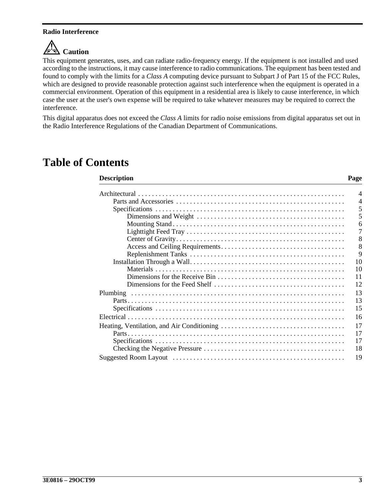#### **Radio Interference**

# **C**<sup>I</sup>**)** Caution

This equipment generates, uses, and can radiate radio-frequency energy. If the equipment is not installed and used according to the instructions, it may cause interference to radio communications. The equipment has been tested and found to comply with the limits for a *Class A* computing device pursuant to Subpart J of Part 15 of the FCC Rules, which are designed to provide reasonable protection against such interference when the equipment is operated in a commercial environment. Operation of this equipment in a residential area is likely to cause interference, in which case the user at the user's own expense will be required to take whatever measures may be required to correct the interference.

This digital apparatus does not exceed the *Class A* limits for radio noise emissions from digital apparatus set out in the Radio Interference Regulations of the Canadian Department of Communications.

### **Table of Contents**

#### **Description** Page

| $\overline{4}$ |
|----------------|
| $\overline{4}$ |
| 5              |
| 5              |
| 6              |
| 7              |
| 8              |
| 8              |
| 9              |
| 10             |
| 10             |
| 11             |
| 12             |
| 13             |
| 13             |
| 15             |
| 16             |
| 17             |
|                |
| 17             |
| 17             |
| 18             |
| 19             |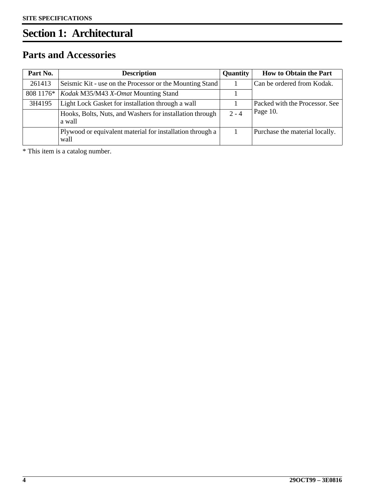# <span id="page-3-0"></span>**Section 1: Architectural**

### <span id="page-3-1"></span>**Parts and Accessories**

| Part No.  | <b>Description</b>                                                 | <b>Quantity</b> | <b>How to Obtain the Part</b>  |
|-----------|--------------------------------------------------------------------|-----------------|--------------------------------|
| 261413    | Seismic Kit - use on the Processor or the Mounting Stand           |                 | Can be ordered from Kodak.     |
| 808 1176* | Kodak M35/M43 X-Omat Mounting Stand                                |                 |                                |
| 3H4195    | Light Lock Gasket for installation through a wall                  |                 | Packed with the Processor. See |
|           | Hooks, Bolts, Nuts, and Washers for installation through<br>a wall | $2 - 4$         | Page 10.                       |
|           | Plywood or equivalent material for installation through a<br>wall  |                 | Purchase the material locally. |

\* This item is a catalog number.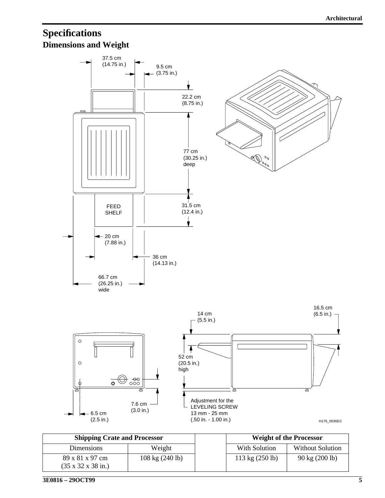### <span id="page-4-1"></span><span id="page-4-0"></span>**Specifications Dimensions and Weight**



| <b>Shipping Crate and Processor</b>                       |                                   | <b>Weight of the Processor</b>    |                                  |
|-----------------------------------------------------------|-----------------------------------|-----------------------------------|----------------------------------|
| <b>Dimensions</b>                                         | Weight                            | With Solution                     | <b>Without Solution</b>          |
| 89 x 81 x 97 cm<br>$(35 \times 32 \times 38 \text{ in.})$ | $108 \text{ kg} (240 \text{ lb})$ | $113 \text{ kg} (250 \text{ lb})$ | $90 \text{ kg} (200 \text{ lb})$ |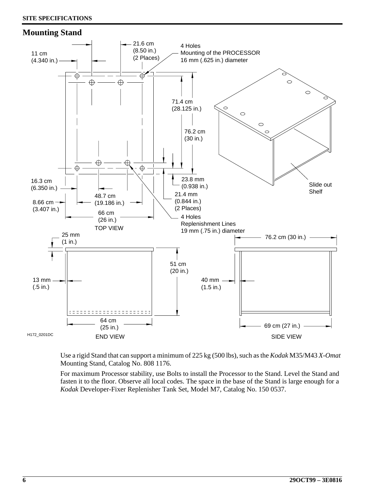#### <span id="page-5-0"></span>**Mounting Stand**



Use a rigid Stand that can support a minimum of 225 kg (500 lbs), such as the *Kodak* M35/M43 *X-Omat* Mounting Stand, Catalog No. 808 1176.

For maximum Processor stability, use Bolts to install the Processor to the Stand. Level the Stand and fasten it to the floor. Observe all local codes. The space in the base of the Stand is large enough for a *Kodak* Developer-Fixer Replenisher Tank Set, Model M7, Catalog No. 150 0537.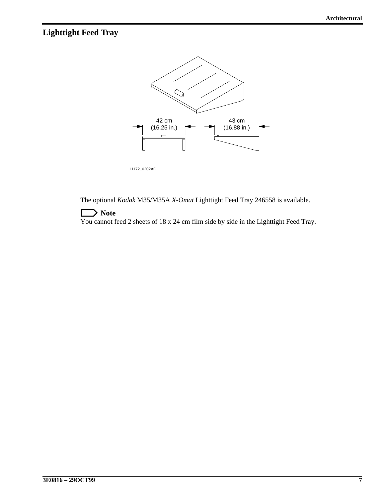### <span id="page-6-0"></span>**Lighttight Feed Tray**



H172\_0202AC

The optional *Kodak* M35/M35A *X-Omat* Lighttight Feed Tray 246558 is available.

#### **Note**

You cannot feed 2 sheets of 18 x 24 cm film side by side in the Lighttight Feed Tray.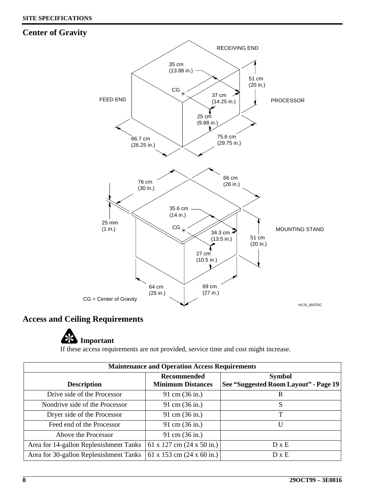#### <span id="page-7-1"></span>**Center of Gravity**



#### <span id="page-7-0"></span>**Access and Ceiling Requirements**

# **Important**

If these access requirements are not provided, service time and cost might increase.

| <b>Maintenance and Operation Access Requirements</b> |                                                |                                                        |  |  |  |  |
|------------------------------------------------------|------------------------------------------------|--------------------------------------------------------|--|--|--|--|
| <b>Description</b>                                   | <b>Recommended</b><br><b>Minimum Distances</b> | <b>Symbol</b><br>See "Suggested Room Layout" - Page 19 |  |  |  |  |
| Drive side of the Processor                          | 91 cm (36 in.)                                 | R                                                      |  |  |  |  |
| Nondrive side of the Processor                       | 91 cm (36 in.)                                 | S                                                      |  |  |  |  |
| Dryer side of the Processor                          | 91 cm (36 in.)                                 | T                                                      |  |  |  |  |
| Feed end of the Processor                            | 91 cm (36 in.)                                 | U                                                      |  |  |  |  |
| Above the Processor                                  | 91 cm (36 in.)                                 |                                                        |  |  |  |  |
| Area for 14-gallon Replenishment Tanks               | 61 x 127 cm $(24 \times 50 \text{ in.})$       | $D \times E$                                           |  |  |  |  |
| Area for 30-gallon Replenishment Tanks               | 61 x 153 cm $(24 \times 60 \text{ in.})$       | $D \times E$                                           |  |  |  |  |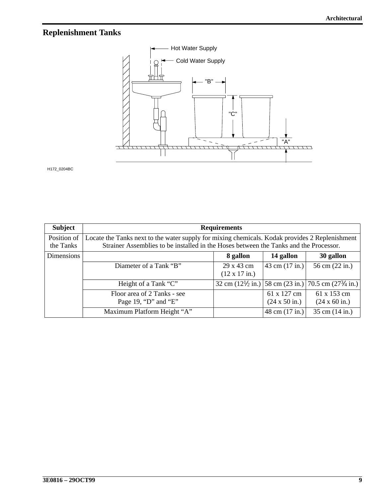### <span id="page-8-0"></span>**Replenishment Tanks**



H172\_0204BC

| <b>Subject</b> | <b>Requirements</b>                                                                            |                                                                                    |                                             |                                             |  |  |  |  |
|----------------|------------------------------------------------------------------------------------------------|------------------------------------------------------------------------------------|---------------------------------------------|---------------------------------------------|--|--|--|--|
| Position of    | Locate the Tanks next to the water supply for mixing chemicals. Kodak provides 2 Replenishment |                                                                                    |                                             |                                             |  |  |  |  |
| the Tanks      | Strainer Assemblies to be installed in the Hoses between the Tanks and the Processor.          |                                                                                    |                                             |                                             |  |  |  |  |
| Dimensions     | 14 gallon<br>8 gallon<br>30 gallon                                                             |                                                                                    |                                             |                                             |  |  |  |  |
|                | Diameter of a Tank "B"                                                                         | 29 x 43 cm<br>$(12 \times 17 \text{ in.})$                                         | 43 cm $(17 in.)$                            | 56 cm (22 in.)                              |  |  |  |  |
|                | Height of a Tank "C"                                                                           | 32 cm $(12\frac{1}{2}$ in.) 58 cm $(23 \text{ in.})$ 70.5 cm $(27\frac{3}{4}$ in.) |                                             |                                             |  |  |  |  |
|                | Floor area of 2 Tanks - see<br>Page 19, "D" and "E"                                            |                                                                                    | 61 x 127 cm<br>$(24 \times 50 \text{ in.})$ | 61 x 153 cm<br>$(24 \times 60 \text{ in.})$ |  |  |  |  |
|                | Maximum Platform Height "A"                                                                    |                                                                                    | 48 cm (17 in.)                              | 35 cm (14 in.)                              |  |  |  |  |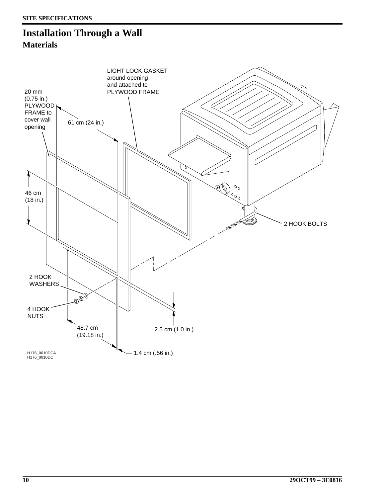### <span id="page-9-1"></span><span id="page-9-0"></span>**Installation Through a Wall Materials**

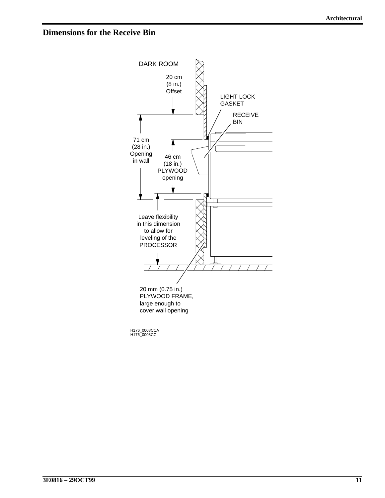#### <span id="page-10-0"></span>**Dimensions for the Receive Bin**



H176\_0008CC H176\_0008CCA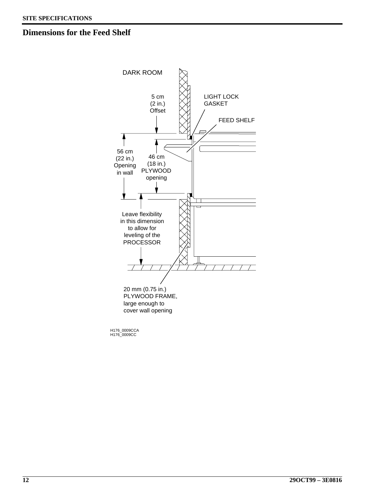#### <span id="page-11-0"></span>**Dimensions for the Feed Shelf**



H176\_0009CC H176\_0009CCA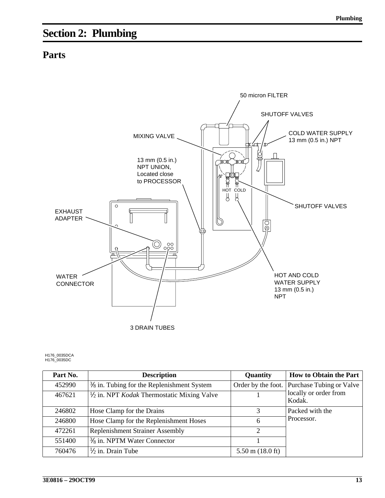# <span id="page-12-0"></span>**Section 2: Plumbing**

#### <span id="page-12-1"></span>**Parts**



H176\_0035DC H176\_0035DCA

| Part No. | <b>Description</b>                                           | Quantity                   | How to Obtain the Part                      |
|----------|--------------------------------------------------------------|----------------------------|---------------------------------------------|
| 452990   | $\frac{3}{8}$ in. Tubing for the Replenishment System        |                            | Order by the foot. Purchase Tubing or Valve |
| 467621   | $\frac{1}{2}$ in. NPT <i>Kodak</i> Thermostatic Mixing Valve |                            | locally or order from<br>Kodak.             |
| 246802   | Hose Clamp for the Drains                                    | 3                          | Packed with the                             |
| 246800   | Hose Clamp for the Replenishment Hoses                       | 6                          | Processor.                                  |
| 472261   | <b>Replenishment Strainer Assembly</b>                       | 2                          |                                             |
| 551400   | $\frac{3}{8}$ in. NPTM Water Connector                       |                            |                                             |
| 760476   | $\frac{1}{2}$ in. Drain Tube                                 | $5.50 \text{ m}$ (18.0 ft) |                                             |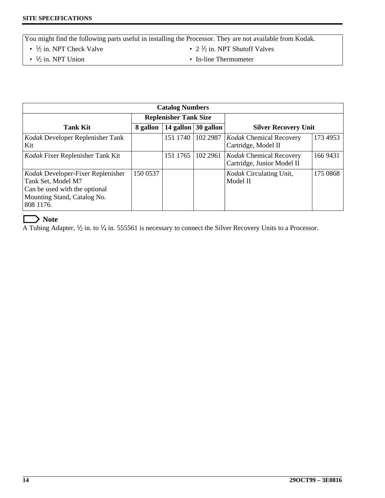You might find the following parts useful in installing the Processor. They are not available from Kodak.

•  $\frac{1}{2}$  in. NPT Check Valve

• 2  $\frac{1}{2}$  in. NPT Shutoff Valves

 $\cdot$   $\frac{1}{2}$  in. NPT Union

• In-line Thermometer

| <b>Catalog Numbers</b>                                                                                                               |                                    |          |                             |                                                              |          |  |  |
|--------------------------------------------------------------------------------------------------------------------------------------|------------------------------------|----------|-----------------------------|--------------------------------------------------------------|----------|--|--|
| <b>Replenisher Tank Size</b>                                                                                                         |                                    |          |                             |                                                              |          |  |  |
| <b>Tank Kit</b>                                                                                                                      | 14 gallon $ 30$ gallon<br>8 gallon |          | <b>Silver Recovery Unit</b> |                                                              |          |  |  |
| Kodak Developer Replenisher Tank<br>Kit                                                                                              |                                    | 151 1740 | 102 2987                    | Kodak Chemical Recovery<br>Cartridge, Model II               | 173 4953 |  |  |
| Kodak Fixer Replenisher Tank Kit                                                                                                     |                                    | 151 1765 | 102 2961                    | <b>Kodak Chemical Recovery</b><br>Cartridge, Junior Model II | 166 9431 |  |  |
| Kodak Developer-Fixer Replenisher<br>Tank Set, Model M7<br>Can be used with the optional<br>Mounting Stand, Catalog No.<br>808 1176. | 150 0537                           |          |                             | <i>Kodak</i> Circulating Unit,<br>Model II                   | 175 0868 |  |  |

#### $\rightarrow$  Note

Г

A Tubing Adapter,  $\frac{1}{2}$  in. to  $\frac{1}{4}$  in. 555561 is necessary to connect the Silver Recovery Units to a Processor.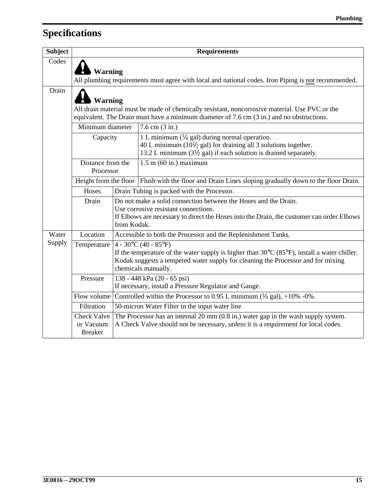# <span id="page-14-3"></span>**Specifications**

<span id="page-14-2"></span><span id="page-14-1"></span><span id="page-14-0"></span>

| <b>Subject</b> |                                                                                                                                                                                                                                                                         | <b>Requirements</b> |                                                                                                                                                                                                                         |  |  |  |  |
|----------------|-------------------------------------------------------------------------------------------------------------------------------------------------------------------------------------------------------------------------------------------------------------------------|---------------------|-------------------------------------------------------------------------------------------------------------------------------------------------------------------------------------------------------------------------|--|--|--|--|
| Codes          | Warning                                                                                                                                                                                                                                                                 |                     | All plumbing requirements must agree with local and national codes. Iron Piping is not recommended.                                                                                                                     |  |  |  |  |
| Drain          | <b>Warning</b><br>All drain material must be made of chemically resistant, noncorrosive material. Use PVC or the<br>equivalent. The Drain must have a minimum diameter of $7.6 \text{ cm } (3 \text{ in.})$ and no obstructions.                                        |                     |                                                                                                                                                                                                                         |  |  |  |  |
|                | Minimum diameter                                                                                                                                                                                                                                                        |                     | $7.6$ cm $(3 \text{ in.})$                                                                                                                                                                                              |  |  |  |  |
|                | Capacity                                                                                                                                                                                                                                                                |                     | 1 L minimum ( $\frac{1}{4}$ gal) during normal operation.<br>40 L minimum ( $10\frac{1}{2}$ gal) for draining all 3 solutions together.<br>13.2 L minimum ( $3\frac{1}{2}$ gal) if each solution is drained separately. |  |  |  |  |
|                | Distance from the<br>Processor                                                                                                                                                                                                                                          |                     | $1.5$ m $(60$ in.) maximum                                                                                                                                                                                              |  |  |  |  |
|                |                                                                                                                                                                                                                                                                         |                     | Height from the floor   Flush with the floor and Drain Lines sloping gradually down to the floor Drain.                                                                                                                 |  |  |  |  |
|                | Hoses                                                                                                                                                                                                                                                                   |                     | Drain Tubing is packed with the Processor.                                                                                                                                                                              |  |  |  |  |
|                | Drain                                                                                                                                                                                                                                                                   |                     | Do not make a solid connection between the Hoses and the Drain.                                                                                                                                                         |  |  |  |  |
|                |                                                                                                                                                                                                                                                                         |                     | Use corrosive resistant connections.<br>If Elbows are necessary to direct the Hoses into the Drain, the customer can order Elbows<br>from Kodak.                                                                        |  |  |  |  |
| Water          | Location                                                                                                                                                                                                                                                                |                     | Accessible to both the Processor and the Replenishment Tanks.                                                                                                                                                           |  |  |  |  |
| Supply         | $4 - 30^{\circ}C (40 - 85^{\circ}F)$<br>Temperature<br>If the temperature of the water supply is higher than $30^{\circ}$ C (85°F), install a water chiller.<br>Kodak suggests a tempered water supply for cleaning the Processor and for mixing<br>chemicals manually. |                     |                                                                                                                                                                                                                         |  |  |  |  |
|                | Pressure                                                                                                                                                                                                                                                                |                     | 138 - 448 kPa (20 - 65 psi)<br>If necessary, install a Pressure Regulator and Gauge.                                                                                                                                    |  |  |  |  |
|                | Flow volume                                                                                                                                                                                                                                                             |                     | Controlled within the Processor to 0.95 L minimum $(\frac{1}{4}$ gal), +10% -0%.                                                                                                                                        |  |  |  |  |
|                | Filtration                                                                                                                                                                                                                                                              |                     | 50-micron Water Filter in the input water line                                                                                                                                                                          |  |  |  |  |
|                | <b>Check Valve</b><br>or Vacuum<br><b>Breaker</b>                                                                                                                                                                                                                       |                     | The Processor has an internal $20 \text{ mm } (0.8 \text{ in.})$ water gap in the wash supply system.<br>A Check Valve should not be necessary, unless it is a requirement for local codes.                             |  |  |  |  |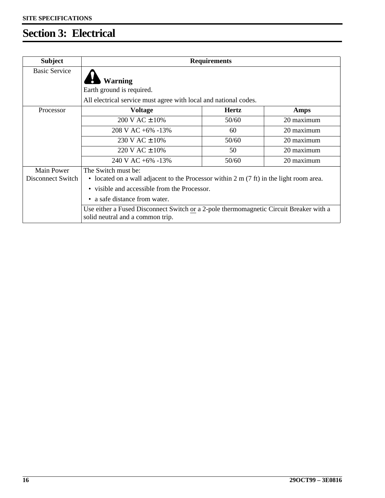# <span id="page-15-0"></span>**Section 3: Electrical**

| <b>Subject</b>                         | <b>Requirements</b>                                                                                                                                                              |              |      |  |  |
|----------------------------------------|----------------------------------------------------------------------------------------------------------------------------------------------------------------------------------|--------------|------|--|--|
| <b>Basic Service</b>                   | <b>Warning</b><br>Earth ground is required.                                                                                                                                      |              |      |  |  |
|                                        | All electrical service must agree with local and national codes.                                                                                                                 |              |      |  |  |
| Processor                              | <b>Voltage</b>                                                                                                                                                                   | <b>Hertz</b> | Amps |  |  |
|                                        | $200$ V AC $\pm$ 10%<br>20 maximum<br>50/60                                                                                                                                      |              |      |  |  |
|                                        | $208$ V AC +6% -13%<br>20 maximum<br>60                                                                                                                                          |              |      |  |  |
|                                        | 20 maximum<br>$230 \text{ V } AC \pm 10\%$<br>50/60                                                                                                                              |              |      |  |  |
|                                        | 20 maximum<br>220 V AC ± 10%<br>50                                                                                                                                               |              |      |  |  |
|                                        | $240$ V AC +6% -13%<br>50/60<br>20 maximum                                                                                                                                       |              |      |  |  |
| <b>Main Power</b><br>Disconnect Switch | The Switch must be:<br>• located on a wall adjacent to the Processor within $2 \text{ m} (7 \text{ ft})$ in the light room area.<br>• visible and accessible from the Processor. |              |      |  |  |
|                                        | • a safe distance from water.                                                                                                                                                    |              |      |  |  |
|                                        | Use either a Fused Disconnect Switch or a 2-pole thermomagnetic Circuit Breaker with a<br>solid neutral and a common trip.                                                       |              |      |  |  |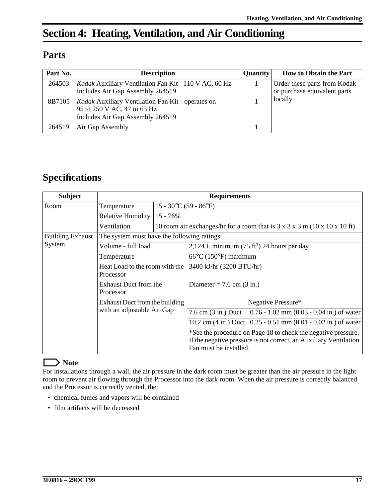## <span id="page-16-2"></span>**Section 4: Heating, Ventilation, and Air Conditioning**

#### <span id="page-16-3"></span>**Parts**

| Part No. | <b>Description</b>                                                                                                          | <b>Quantity</b> | <b>How to Obtain the Part</b>                                |
|----------|-----------------------------------------------------------------------------------------------------------------------------|-----------------|--------------------------------------------------------------|
| 264503   | Kodak Auxiliary Ventilation Fan Kit - 110 V AC, 60 Hz<br>Includes Air Gap Assembly 264519                                   |                 | Order these parts from Kodak<br>or purchase equivalent parts |
| 8B7105   | <i>Kodak</i> Auxiliary Ventilation Fan Kit - operates on<br>95 to 250 V AC, 47 to 63 Hz<br>Includes Air Gap Assembly 264519 |                 | locally.                                                     |
| 264519   | Air Gap Assembly                                                                                                            |                 |                                                              |

### <span id="page-16-4"></span>**Specifications**

<span id="page-16-1"></span><span id="page-16-0"></span>

| <b>Subject</b>                    | <b>Requirements</b>                                          |                                                                                                     |                                                                                                                                                              |                                                                     |  |  |
|-----------------------------------|--------------------------------------------------------------|-----------------------------------------------------------------------------------------------------|--------------------------------------------------------------------------------------------------------------------------------------------------------------|---------------------------------------------------------------------|--|--|
| Room                              | Temperature                                                  | $15 - 30^{\circ}C(59 - 86^{\circ}F)$                                                                |                                                                                                                                                              |                                                                     |  |  |
|                                   | Relative Humidity                                            | 15 - 76%                                                                                            |                                                                                                                                                              |                                                                     |  |  |
|                                   | Ventilation                                                  | 10 room air exchanges/hr for a room that is $3 \times 3 \times 3 \times 10 \times 10 \times 10$ ft) |                                                                                                                                                              |                                                                     |  |  |
| <b>Building Exhaust</b><br>System | The system must have the following ratings:                  |                                                                                                     |                                                                                                                                                              |                                                                     |  |  |
|                                   | Volume - full load                                           |                                                                                                     | 2,124 L minimum (75 ft <sup>3</sup> ) 24 hours per day                                                                                                       |                                                                     |  |  |
|                                   | Temperature                                                  |                                                                                                     | $66^{\circ}$ C (150°F) maximum                                                                                                                               |                                                                     |  |  |
|                                   | Heat Load to the room with the                               |                                                                                                     | 3400 kJ/hr (3200 BTU/hr)                                                                                                                                     |                                                                     |  |  |
|                                   | Processor                                                    |                                                                                                     |                                                                                                                                                              |                                                                     |  |  |
|                                   | <b>Exhaust Duct from the</b>                                 |                                                                                                     | Diameter = $7.6$ cm $(3 \text{ in.})$                                                                                                                        |                                                                     |  |  |
|                                   | Processor                                                    |                                                                                                     |                                                                                                                                                              |                                                                     |  |  |
|                                   | Exhaust Duct from the building<br>with an adjustable Air Gap |                                                                                                     | Negative Pressure*                                                                                                                                           |                                                                     |  |  |
|                                   |                                                              |                                                                                                     | $7.6$ cm $(3 \text{ in.})$ Duct                                                                                                                              | $0.76 - 1.02$ mm $(0.03 - 0.04$ in.) of water                       |  |  |
|                                   |                                                              |                                                                                                     |                                                                                                                                                              | 10.2 cm (4 in.) Duct $(0.25 - 0.51$ mm $(0.01 - 0.02$ in.) of water |  |  |
|                                   |                                                              |                                                                                                     | *See the procedure on Page 18 to check the negative pressure.<br>If the negative pressure is not correct, an Auxiliary Ventilation<br>Fan must be installed. |                                                                     |  |  |

#### **Note** L

For installations through a wall, the air pressure in the dark room must be greater than the air pressure in the light room to prevent air flowing through the Processor into the dark room. When the air pressure is correctly balanced and the Processor is correctly vented, the:

- chemical fumes and vapors will be contained
- film artifacts will be decreased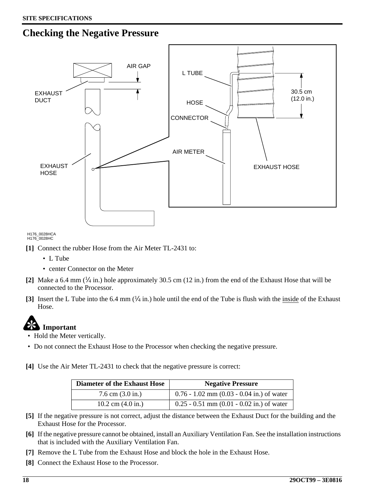### <span id="page-17-0"></span>**Checking the Negative Pressure**



H176\_0028HC H176\_0028HCA

- **[1]** Connect the rubber Hose from the Air Meter TL-2431 to:
	- L Tube
	- center Connector on the Meter
- **[2]** Make a 6.4 mm (1⁄4 in.) hole approximately 30.5 cm (12 in.) from the end of the Exhaust Hose that will be connected to the Processor.
- **[3]** Insert the L Tube into the 6.4 mm  $\left(\frac{1}{4}$  in.) hole until the end of the Tube is flush with the inside of the Exhaust Hose.

# **Important**

- Hold the Meter vertically.
- Do not connect the Exhaust Hose to the Processor when checking the negative pressure.

**[4]** Use the Air Meter TL-2431 to check that the negative pressure is correct:

| <b>Diameter of the Exhaust Hose</b> | <b>Negative Pressure</b>                      |  |
|-------------------------------------|-----------------------------------------------|--|
| $7.6$ cm $(3.0 \text{ in.})$        | $0.76 - 1.02$ mm $(0.03 - 0.04$ in.) of water |  |
| 10.2 cm $(4.0 \text{ in.})$         | $0.25 - 0.51$ mm $(0.01 - 0.02$ in.) of water |  |

- **[5]** If the negative pressure is not correct, adjust the distance between the Exhaust Duct for the building and the Exhaust Hose for the Processor.
- **[6]** If the negative pressure cannot be obtained, install an Auxiliary Ventilation Fan. See the installation instructions that is included with the Auxiliary Ventilation Fan.
- **[7]** Remove the L Tube from the Exhaust Hose and block the hole in the Exhaust Hose.
- **[8]** Connect the Exhaust Hose to the Processor.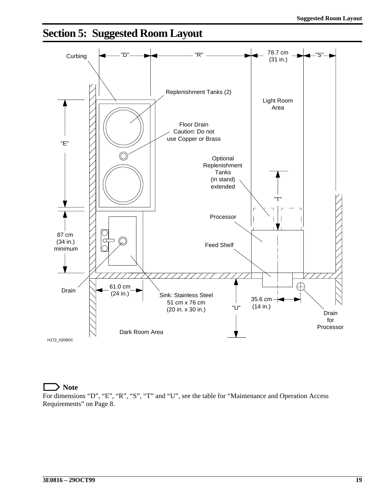# <span id="page-18-0"></span>**Section 5: Suggested Room Layout**



**Note**

For dimensions "D", "E", "R", "S", "T" and "U", see the table for "Maintenance and Operation Access Requirements" on Page [8](#page-7-0).